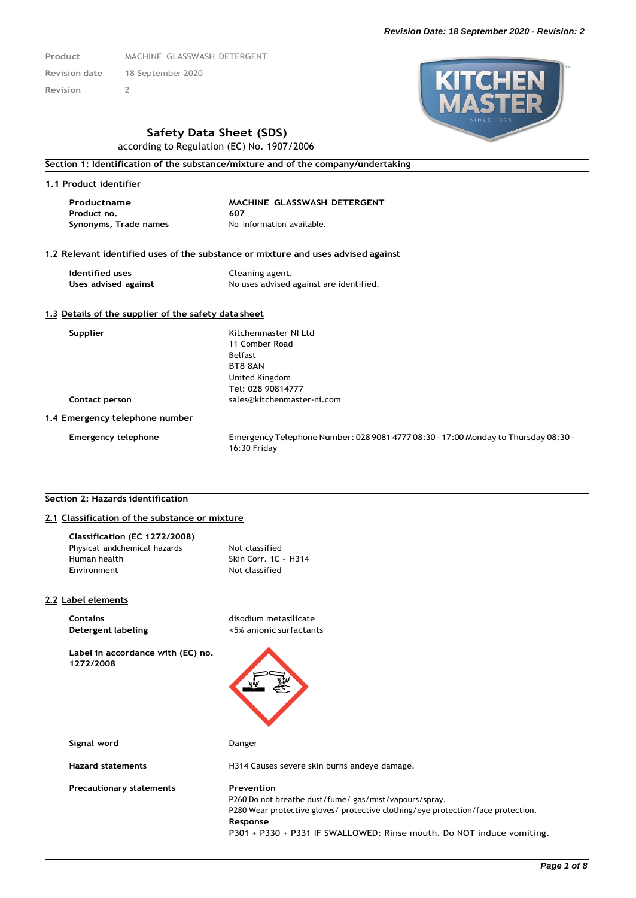- **Product** MACHINE GLASSWASH DETERGENT **Revision date** 18 September 2020
- **Revision** 2
- 





# **Safety Data Sheet (SDS)**

according to Regulation (EC) No. 1907/2006

### **Section 1: Identification of the substance/mixture and of the company/undertaking**

# **1.1 Product identifier**

**Product no. 607 Synonyms, Trade names** No information available.

# **Productname MACHINE GLASSWASH DETERGENT**

#### **1.2 Relevant identified uses of the substance or mixture and uses advised against**

**Identified uses** Cleaning agent.

Uses advised against **No uses** advised against are identified.

#### **1.3 Details of the supplier of the safety data sheet**

**Supplier** Kitchenmaster NI Ltd 11 Comber Road Belfast BT8 8AN United Kingdom Tel: 028 90814777 **Contact person** [sales@kitchenmaster-ni.com](mailto:sales@kitchenmaster-ni.com)

**1.4 Emergency telephone number**

**Emergency telephone** Emergency Telephone Number: 028 9081 4777 08:30 –17:00 Monday to Thursday 08:30 – 16:30 Friday

#### **Section 2: Hazards identification**

# **2.1 Classification of the substance or mixture**

| Not classified       |
|----------------------|
| Skin Corr. 1C - H314 |
| Not classified       |
|                      |

#### **2.2 Label elements**

**Contains Contains** disodium metasilicate

**Label in accordance with (EC) no. 1272/2008**

**Detergent labeling** <5% anionic surfactants



**Signal word** Danger

**Hazard statements** H314 Causes severe skin burns andeye damage.

**Precautionary statements Prevention** P260 Do not breathe dust/fume/ gas/mist/vapours/spray. P280 Wear protective gloves/ protective clothing/eye protection/face protection. **Response**

P301 + P330 + P331 IF SWALLOWED: Rinse mouth. Do NOT induce vomiting.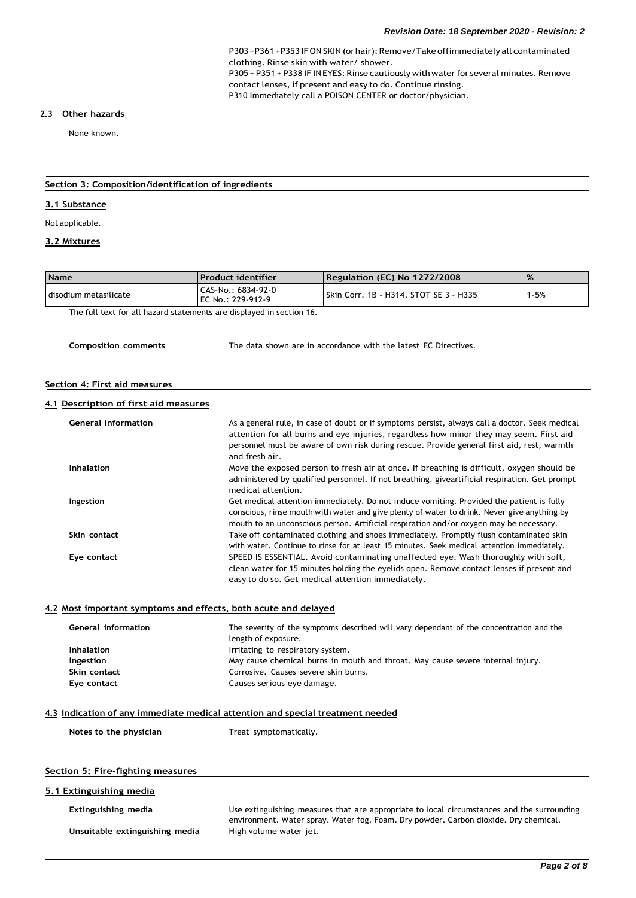P303 +P361 +P353 IFON SKIN (or hair): Remove/Take offimmediately all contaminated clothing. Rinse skin with water/ shower. P305 + P351 + P338 IF INEYES: Rinse cautiously with water for several minutes. Remove contact lenses, if present and easy to do. Continue rinsing.

P310 Immediately call a POISON CENTER or doctor/physician.

#### **2.3 Other hazards**

None known.

#### **Section 3: Composition/identification of ingredients**

#### **3.1 Substance**

Not applicable.

# **3.2 Mixtures**

| <b>Name</b>           | l Product identifier                      | Regulation (EC) No 1272/2008           | $\frac{9}{6}$ |
|-----------------------|-------------------------------------------|----------------------------------------|---------------|
| disodium metasilicate | l CAS-No.: 6834-92-0<br>EC No.: 229-912-9 | Skin Corr. 1B - H314. STOT SE 3 - H335 | $1 - 5%$      |

The full text for all hazard statements are displayed in section 16.

**Composition comments** The data shown are in accordance with the latest EC Directives.

# **Section 4: First aid measures**

#### **4.1 Description of first aid measures**

| <b>General information</b> | As a general rule, in case of doubt or if symptoms persist, always call a doctor. Seek medical<br>attention for all burns and eye injuries, regardless how minor they may seem. First aid<br>personnel must be aware of own risk during rescue. Provide general first aid, rest, warmth<br>and fresh air. |
|----------------------------|-----------------------------------------------------------------------------------------------------------------------------------------------------------------------------------------------------------------------------------------------------------------------------------------------------------|
| <b>Inhalation</b>          | Move the exposed person to fresh air at once. If breathing is difficult, oxygen should be<br>administered by qualified personnel. If not breathing, giveartificial respiration. Get prompt<br>medical attention.                                                                                          |
| Ingestion                  | Get medical attention immediately. Do not induce vomiting. Provided the patient is fully<br>conscious, rinse mouth with water and give plenty of water to drink. Never give anything by<br>mouth to an unconscious person. Artificial respiration and/or oxygen may be necessary.                         |
| Skin contact               | Take off contaminated clothing and shoes immediately. Promptly flush contaminated skin<br>with water. Continue to rinse for at least 15 minutes. Seek medical attention immediately.                                                                                                                      |
| Eye contact                | SPEED IS ESSENTIAL. Avoid contaminating unaffected eye. Wash thoroughly with soft,<br>clean water for 15 minutes holding the eyelids open. Remove contact lenses if present and<br>easy to do so. Get medical attention immediately.                                                                      |

# **4.2 Most important symptoms and effects, both acute and delayed**

| General information | The severity of the symptoms described will vary dependant of the concentration and the<br>length of exposure. |
|---------------------|----------------------------------------------------------------------------------------------------------------|
| <b>Inhalation</b>   | Irritating to respiratory system.                                                                              |
| Ingestion           | May cause chemical burns in mouth and throat. May cause severe internal injury.                                |
| Skin contact        | Corrosive. Causes severe skin burns.                                                                           |
| Eye contact         | Causes serious eye damage.                                                                                     |
|                     |                                                                                                                |

#### **4.3 Indication of any immediate medical attention and special treatment needed**

| Treat symptomatically. |
|------------------------|
|                        |

#### **Section 5: Fire-fighting measures**

# **5.1 Extinguishing media**

**Unsuitable extinguishing media** High volume water jet.

**Extinguishing media** Use extinguishing measures that are appropriate to local circumstances and the surrounding environment. Water spray. Water fog. Foam. Dry powder. Carbon dioxide. Dry chemical.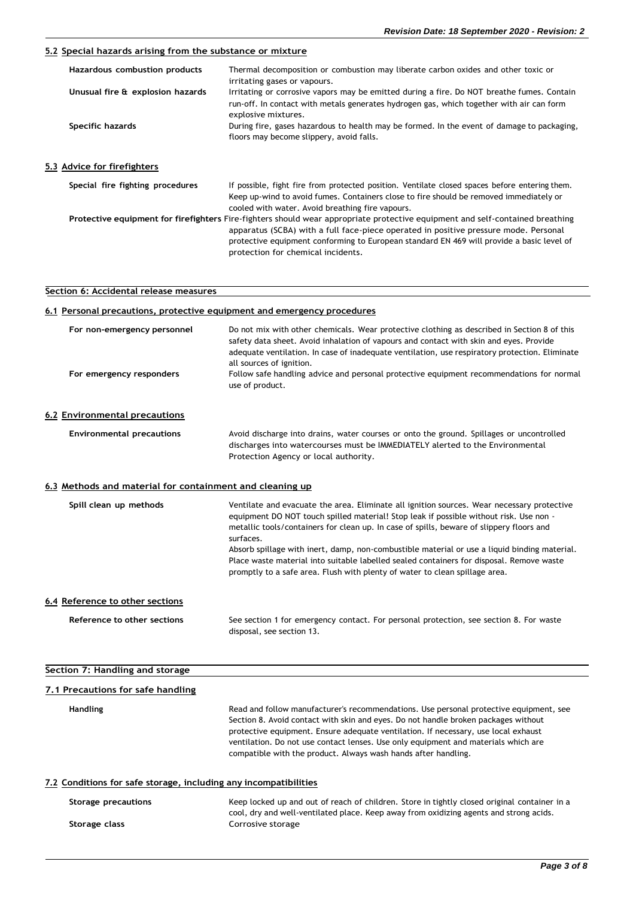# **5.2 Special hazards arising from the substance or mixture**

| Hazardous combustion products    | Thermal decomposition or combustion may liberate carbon oxides and other toxic or<br>irritating gases or vapours.                                                                                                                            |
|----------------------------------|----------------------------------------------------------------------------------------------------------------------------------------------------------------------------------------------------------------------------------------------|
| Unusual fire & explosion hazards | Irritating or corrosive vapors may be emitted during a fire. Do NOT breathe fumes. Contain<br>run-off. In contact with metals generates hydrogen gas, which together with air can form<br>explosive mixtures.                                |
| Specific hazards                 | During fire, gases hazardous to health may be formed. In the event of damage to packaging,<br>floors may become slippery, avoid falls.                                                                                                       |
| Advice for firefighters          |                                                                                                                                                                                                                                              |
| Special fire fighting procedures | If possible, fight fire from protected position. Ventilate closed spaces before entering them.<br>Keep up-wind to avoid fumes. Containers close to fire should be removed immediately or<br>cooled with water. Avoid breathing fire vapours. |
|                                  | Protective equipment for firefighters Fire-fighters should wear appropriate protective equipment and self-contained breathing                                                                                                                |

| quipment for in enginers i lic-lightcls should wear appropriate protective equipment and seti-contained breatmin |
|------------------------------------------------------------------------------------------------------------------|
| apparatus (SCBA) with a full face-piece operated in positive pressure mode. Personal                             |
| protective equipment conforming to European standard EN 469 will provide a basic level of                        |
| protection for chemical incidents.                                                                               |

# **Section 6: Accidental release measures**

 $5.3$ 

| 6.1 Personal precautions, protective equipment and emergency procedures |                                                                                                                                                                                                                                                                                                                                                                                                                                                                                                                                                                          |
|-------------------------------------------------------------------------|--------------------------------------------------------------------------------------------------------------------------------------------------------------------------------------------------------------------------------------------------------------------------------------------------------------------------------------------------------------------------------------------------------------------------------------------------------------------------------------------------------------------------------------------------------------------------|
| For non-emergency personnel<br>For emergency responders                 | Do not mix with other chemicals. Wear protective clothing as described in Section 8 of this<br>safety data sheet. Avoid inhalation of vapours and contact with skin and eyes. Provide<br>adequate ventilation. In case of inadequate ventilation, use respiratory protection. Eliminate<br>all sources of ignition.<br>Follow safe handling advice and personal protective equipment recommendations for normal<br>use of product.                                                                                                                                       |
| 6.2 Environmental precautions                                           |                                                                                                                                                                                                                                                                                                                                                                                                                                                                                                                                                                          |
| <b>Environmental precautions</b>                                        | Avoid discharge into drains, water courses or onto the ground. Spillages or uncontrolled<br>discharges into watercourses must be IMMEDIATELY alerted to the Environmental<br>Protection Agency or local authority.                                                                                                                                                                                                                                                                                                                                                       |
| 6.3 Methods and material for containment and cleaning up                |                                                                                                                                                                                                                                                                                                                                                                                                                                                                                                                                                                          |
| Spill clean up methods                                                  | Ventilate and evacuate the area. Eliminate all ignition sources. Wear necessary protective<br>equipment DO NOT touch spilled material! Stop leak if possible without risk. Use non -<br>metallic tools/containers for clean up. In case of spills, beware of slippery floors and<br>surfaces.<br>Absorb spillage with inert, damp, non-combustible material or use a liquid binding material.<br>Place waste material into suitable labelled sealed containers for disposal. Remove waste<br>promptly to a safe area. Flush with plenty of water to clean spillage area. |
| 6.4 Reference to other sections                                         |                                                                                                                                                                                                                                                                                                                                                                                                                                                                                                                                                                          |
| Reference to other sections                                             | See section 1 for emergency contact. For personal protection, see section 8. For waste<br>disposal, see section 13.                                                                                                                                                                                                                                                                                                                                                                                                                                                      |
| Section 7: Handling and storage                                         |                                                                                                                                                                                                                                                                                                                                                                                                                                                                                                                                                                          |

#### **7.1 Precautions for safe handling**

**Handling** Read and follow manufacturer's recommendations. Use personal protective equipment, see Section 8. Avoid contact with skin and eyes. Do not handle broken packages without protective equipment. Ensure adequate ventilation. If necessary, use local exhaust ventilation. Do not use contact lenses. Use only equipment and materials which are compatible with the product. Always wash hands after handling.

#### **7.2 Conditions for safe storage, including any incompatibilities**

| Storage precautions | Keep locked up and out of reach of children. Store in tightly closed original container in a                |
|---------------------|-------------------------------------------------------------------------------------------------------------|
| Storage class       | cool, dry and well-ventilated place. Keep away from oxidizing agents and strong acids.<br>Corrosive storage |

۰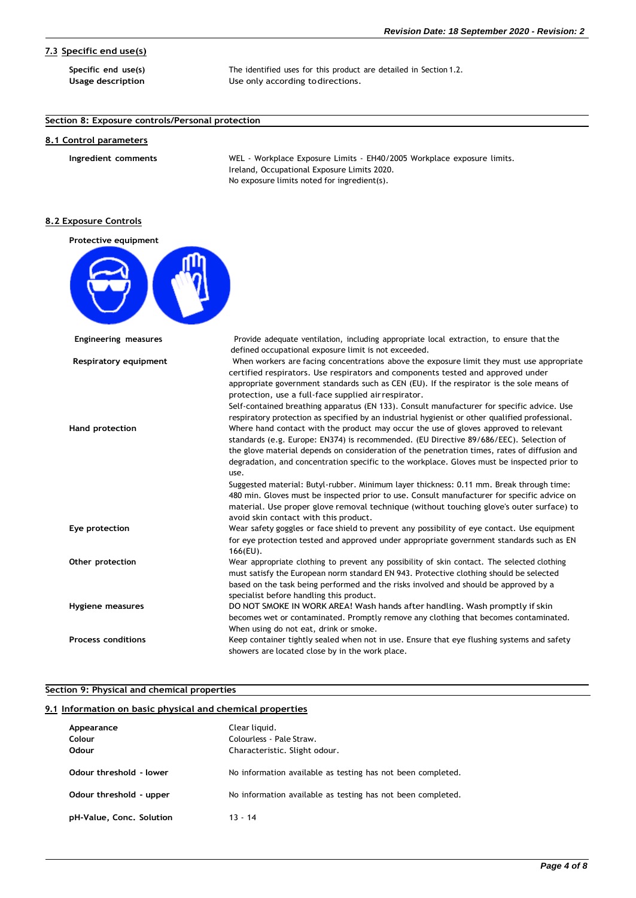# **7.3 Specific end use(s)**

**Specific end use(s)** The identified uses for this product are detailed in Section 1.2. **Usage description** Use only according todirections.

# **Section 8: Exposure controls/Personal protection**

#### **8.1 Control parameters**

**Ingredient comments** WEL - Workplace Exposure Limits - EH40/2005 Workplace exposure limits. Ireland, Occupational Exposure Limits 2020. No exposure limits noted for ingredient(s).

# **8.2 Exposure Controls**

| Protective equipment        |                                                                                                                                                                                                                                                                                                                                                                                 |
|-----------------------------|---------------------------------------------------------------------------------------------------------------------------------------------------------------------------------------------------------------------------------------------------------------------------------------------------------------------------------------------------------------------------------|
|                             |                                                                                                                                                                                                                                                                                                                                                                                 |
| <b>Engineering measures</b> | Provide adequate ventilation, including appropriate local extraction, to ensure that the<br>defined occupational exposure limit is not exceeded.                                                                                                                                                                                                                                |
| Respiratory equipment       | When workers are facing concentrations above the exposure limit they must use appropriate<br>certified respirators. Use respirators and components tested and approved under<br>appropriate government standards such as CEN (EU). If the respirator is the sole means of<br>protection, use a full-face supplied air respirator.                                               |
| <b>Hand protection</b>      | Self-contained breathing apparatus (EN 133). Consult manufacturer for specific advice. Use<br>respiratory protection as specified by an industrial hygienist or other qualified professional.<br>Where hand contact with the product may occur the use of gloves approved to relevant<br>standards (e.g. Europe: EN374) is recommended. (EU Directive 89/686/EEC). Selection of |
|                             | the glove material depends on consideration of the penetration times, rates of diffusion and<br>degradation, and concentration specific to the workplace. Gloves must be inspected prior to<br>use.                                                                                                                                                                             |
|                             | Suggested material: Butyl-rubber. Minimum layer thickness: 0.11 mm. Break through time:<br>480 min. Gloves must be inspected prior to use. Consult manufacturer for specific advice on<br>material. Use proper glove removal technique (without touching glove's outer surface) to<br>avoid skin contact with this product.                                                     |
| Eye protection              | Wear safety goggles or face shield to prevent any possibility of eye contact. Use equipment<br>for eye protection tested and approved under appropriate government standards such as EN<br>$166$ (EU).                                                                                                                                                                          |
| Other protection            | Wear appropriate clothing to prevent any possibility of skin contact. The selected clothing<br>must satisfy the European norm standard EN 943. Protective clothing should be selected<br>based on the task being performed and the risks involved and should be approved by a                                                                                                   |
| Hygiene measures            | specialist before handling this product.<br>DO NOT SMOKE IN WORK AREA! Wash hands after handling. Wash promptly if skin<br>becomes wet or contaminated. Promptly remove any clothing that becomes contaminated.<br>When using do not eat, drink or smoke.                                                                                                                       |
| <b>Process conditions</b>   | Keep container tightly sealed when not in use. Ensure that eye flushing systems and safety<br>showers are located close by in the work place.                                                                                                                                                                                                                                   |

# **Section 9: Physical and chemical properties**

# **9.1 Information on basic physical and chemical properties**

| Appearance<br>Colour<br>Odour | Clear liquid.<br>Colourless - Pale Straw.<br>Characteristic. Slight odour. |
|-------------------------------|----------------------------------------------------------------------------|
| Odour threshold - lower       | No information available as testing has not been completed.                |
| Odour threshold - upper       | No information available as testing has not been completed.                |
| pH-Value, Conc. Solution      | $13 - 14$                                                                  |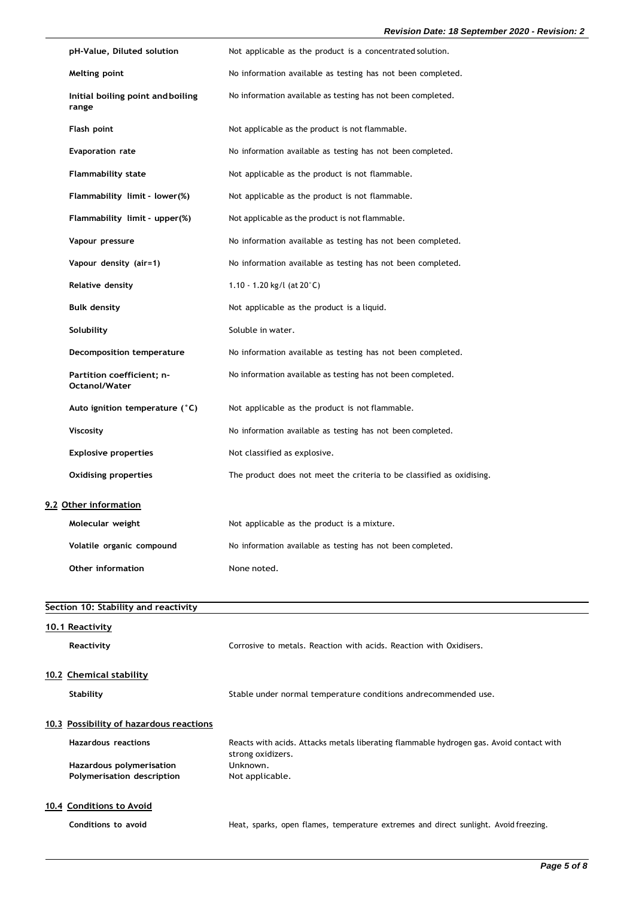| pH-Value, Diluted solution                 | Not applicable as the product is a concentrated solution.             |
|--------------------------------------------|-----------------------------------------------------------------------|
| Melting point                              | No information available as testing has not been completed.           |
| Initial boiling point and boiling<br>range | No information available as testing has not been completed.           |
| Flash point                                | Not applicable as the product is not flammable.                       |
| <b>Evaporation rate</b>                    | No information available as testing has not been completed.           |
| <b>Flammability state</b>                  | Not applicable as the product is not flammable.                       |
| Flammability limit - lower(%)              | Not applicable as the product is not flammable.                       |
| Flammability limit - upper(%)              | Not applicable as the product is not flammable.                       |
| Vapour pressure                            | No information available as testing has not been completed.           |
| Vapour density (air=1)                     | No information available as testing has not been completed.           |
| Relative density                           | 1.10 - 1.20 kg/l (at $20^{\circ}$ C)                                  |
| <b>Bulk density</b>                        | Not applicable as the product is a liquid.                            |
| Solubility                                 | Soluble in water.                                                     |
| Decomposition temperature                  | No information available as testing has not been completed.           |
| Partition coefficient; n-<br>Octanol/Water | No information available as testing has not been completed.           |
| Auto ignition temperature (°C)             | Not applicable as the product is not flammable.                       |
| <b>Viscosity</b>                           | No information available as testing has not been completed.           |
| <b>Explosive properties</b>                | Not classified as explosive.                                          |
| <b>Oxidising properties</b>                | The product does not meet the criteria to be classified as oxidising. |
| 9.2 Other information                      |                                                                       |
| Molecular weight                           | Not applicable as the product is a mixture.                           |
| Volatile organic compound                  | No information available as testing has not been completed.           |
| Other information                          | None noted.                                                           |

| Section 10: Stability and reactivity    |                                                                                                              |  |
|-----------------------------------------|--------------------------------------------------------------------------------------------------------------|--|
| 10.1 Reactivity<br>Reactivity           | Corrosive to metals. Reaction with acids. Reaction with Oxidisers.                                           |  |
|                                         |                                                                                                              |  |
| 10.2 Chemical stability                 |                                                                                                              |  |
| <b>Stability</b>                        | Stable under normal temperature conditions andrecommended use.                                               |  |
|                                         |                                                                                                              |  |
| 10.3 Possibility of hazardous reactions |                                                                                                              |  |
| <b>Hazardous reactions</b>              | Reacts with acids. Attacks metals liberating flammable hydrogen gas. Avoid contact with<br>strong oxidizers. |  |
| Hazardous polymerisation                | Unknown.                                                                                                     |  |
| Polymerisation description              | Not applicable.                                                                                              |  |
|                                         |                                                                                                              |  |
| 10.4 Conditions to Avoid                |                                                                                                              |  |
| Conditions to avoid                     | Heat, sparks, open flames, temperature extremes and direct sunlight. Avoid freezing.                         |  |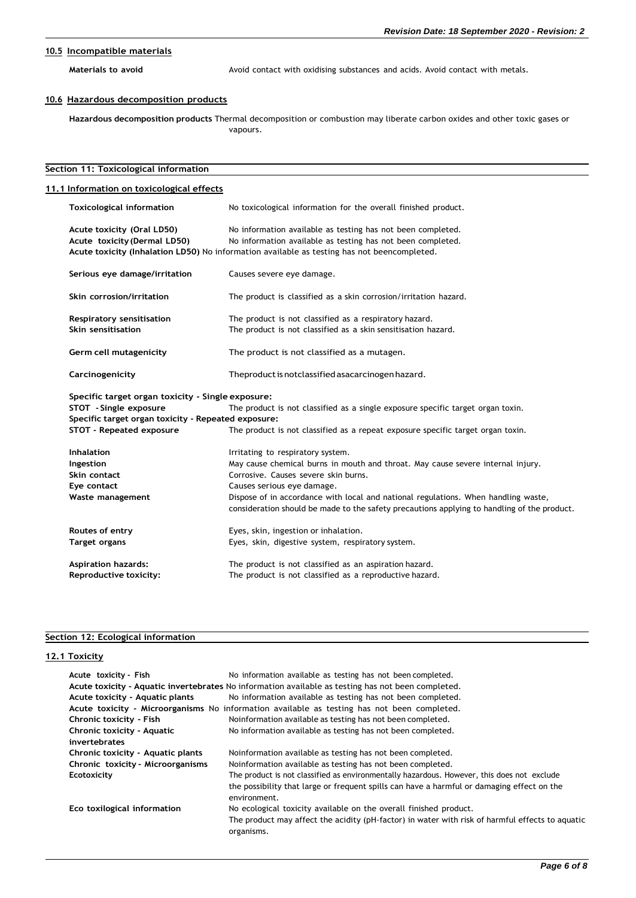# **10.5 Incompatible materials**

Materials to avoid<br> **Materials** to avoid<br>
Avoid contact with metals.

# **10.6 Hazardous decomposition products**

**Hazardous decomposition products** Thermal decomposition or combustion may liberate carbon oxides and other toxic gases or vapours.

| Section 11: Toxicological information<br>11.1 Information on toxicological effects |                                                                                                                                                                                   |  |
|------------------------------------------------------------------------------------|-----------------------------------------------------------------------------------------------------------------------------------------------------------------------------------|--|
|                                                                                    |                                                                                                                                                                                   |  |
| Acute toxicity (Oral LD50)                                                         | No information available as testing has not been completed.                                                                                                                       |  |
| Acute toxicity (Dermal LD50)                                                       | No information available as testing has not been completed.                                                                                                                       |  |
|                                                                                    | Acute toxicity (Inhalation LD50) No information available as testing has not beencompleted.                                                                                       |  |
| Serious eye damage/irritation                                                      | Causes severe eye damage.                                                                                                                                                         |  |
| Skin corrosion/irritation                                                          | The product is classified as a skin corrosion/irritation hazard.                                                                                                                  |  |
| Respiratory sensitisation                                                          | The product is not classified as a respiratory hazard.                                                                                                                            |  |
| Skin sensitisation                                                                 | The product is not classified as a skin sensitisation hazard.                                                                                                                     |  |
| Germ cell mutagenicity                                                             | The product is not classified as a mutagen.                                                                                                                                       |  |
| Carcinogenicity                                                                    | The product is not classified as acarcinogen hazard.                                                                                                                              |  |
| Specific target organ toxicity - Single exposure:                                  |                                                                                                                                                                                   |  |
| STOT - Single exposure                                                             | The product is not classified as a single exposure specific target organ toxin.                                                                                                   |  |
| Specific target organ toxicity - Repeated exposure:                                |                                                                                                                                                                                   |  |
| STOT - Repeated exposure                                                           | The product is not classified as a repeat exposure specific target organ toxin.                                                                                                   |  |
| <b>Inhalation</b>                                                                  | Irritating to respiratory system.                                                                                                                                                 |  |
| Ingestion                                                                          | May cause chemical burns in mouth and throat. May cause severe internal injury.                                                                                                   |  |
| Skin contact                                                                       | Corrosive. Causes severe skin burns.                                                                                                                                              |  |
| Eye contact                                                                        | Causes serious eye damage.                                                                                                                                                        |  |
| Waste management                                                                   | Dispose of in accordance with local and national regulations. When handling waste,<br>consideration should be made to the safety precautions applying to handling of the product. |  |
| Routes of entry                                                                    | Eyes, skin, ingestion or inhalation.                                                                                                                                              |  |
| Target organs                                                                      | Eyes, skin, digestive system, respiratory system.                                                                                                                                 |  |
| <b>Aspiration hazards:</b>                                                         | The product is not classified as an aspiration hazard.                                                                                                                            |  |
| Reproductive toxicity:                                                             | The product is not classified as a reproductive hazard.                                                                                                                           |  |

# **Section 12: Ecological information**

# **12.1 Toxicity**

| Acute toxicity - Fish             | No information available as testing has not been completed.                                                   |
|-----------------------------------|---------------------------------------------------------------------------------------------------------------|
|                                   | Acute toxicity - Aquatic invertebrates No information available as testing has not been completed.            |
| Acute toxicity - Aquatic plants   | No information available as testing has not been completed.                                                   |
|                                   | Acute toxicity - Microorganisms No information available as testing has not been completed.                   |
| Chronic toxicity - Fish           | Noinformation available as testing has not been completed.                                                    |
| Chronic toxicity - Aquatic        | No information available as testing has not been completed.                                                   |
| invertebrates                     |                                                                                                               |
| Chronic toxicity - Aquatic plants | Noinformation available as testing has not been completed.                                                    |
| Chronic toxicity - Microorganisms | Noinformation available as testing has not been completed.                                                    |
| Ecotoxicity                       | The product is not classified as environmentally hazardous. However, this does not exclude                    |
|                                   | the possibility that large or frequent spills can have a harmful or damaging effect on the<br>environment.    |
| Eco toxilogical information       | No ecological toxicity available on the overall finished product.                                             |
|                                   | The product may affect the acidity (pH-factor) in water with risk of harmful effects to aquatic<br>organisms. |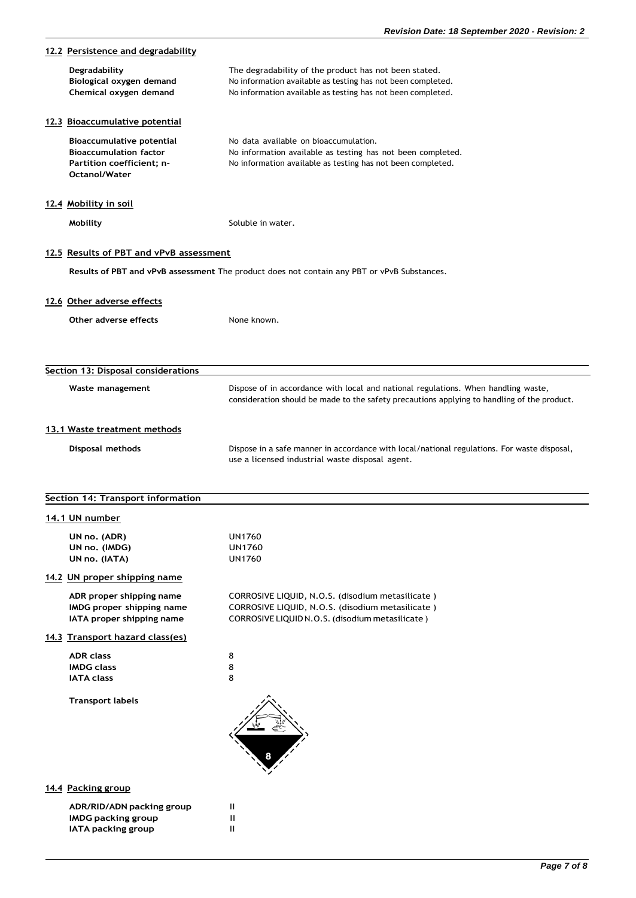| 12.2 Persistence and degradability                                                                              |                                                                                                                                                                                     |
|-----------------------------------------------------------------------------------------------------------------|-------------------------------------------------------------------------------------------------------------------------------------------------------------------------------------|
| Degradability<br>Biological oxygen demand<br>Chemical oxygen demand                                             | The degradability of the product has not been stated.<br>No information available as testing has not been completed.<br>No information available as testing has not been completed. |
| 12.3 Bioaccumulative potential                                                                                  |                                                                                                                                                                                     |
| Bioaccumulative potential<br><b>Bioaccumulation factor</b><br>Partition coefficient; n-<br><b>Octanol/Water</b> | No data available on bioaccumulation.<br>No information available as testing has not been completed.<br>No information available as testing has not been completed.                 |
| 12.4 Mobility in soil                                                                                           |                                                                                                                                                                                     |
| Mobility                                                                                                        | Soluble in water.                                                                                                                                                                   |
| 12.5 Results of PBT and vPvB assessment                                                                         |                                                                                                                                                                                     |
|                                                                                                                 | Results of PBT and vPvB assessment The product does not contain any PBT or vPvB Substances.                                                                                         |
| 12.6 Other adverse effects                                                                                      |                                                                                                                                                                                     |
| Other adverse effects                                                                                           | None known.                                                                                                                                                                         |
|                                                                                                                 |                                                                                                                                                                                     |
| Section 13: Disposal considerations                                                                             |                                                                                                                                                                                     |
| Waste management                                                                                                | Dispose of in accordance with local and national regulations. When handling waste,<br>consideration should be made to the safety precautions applying to handling of the product.   |
| 13.1 Waste treatment methods                                                                                    |                                                                                                                                                                                     |
| Disposal methods                                                                                                | Dispose in a safe manner in accordance with local/national regulations. For waste disposal,<br>use a licensed industrial waste disposal agent.                                      |
| Section 14: Transport information                                                                               |                                                                                                                                                                                     |
| 14.1 UN number                                                                                                  |                                                                                                                                                                                     |
| UN no. (ADR)<br>UN no. (IMDG)<br>UN no. (IATA)                                                                  | <b>UN1760</b><br><b>UN1760</b><br><b>UN1760</b>                                                                                                                                     |
| 14.2 UN proper shipping name                                                                                    |                                                                                                                                                                                     |
| ADR proper shipping name<br>IMDG proper shipping name<br>IATA proper shipping name                              | CORROSIVE LIQUID, N.O.S. (disodium metasilicate)<br>CORROSIVE LIQUID, N.O.S. (disodium metasilicate)<br>CORROSIVE LIQUID N.O.S. (disodium metasilicate)                             |
| 14.3 Transport hazard class(es)                                                                                 |                                                                                                                                                                                     |
| <b>ADR</b> class<br><b>IMDG class</b><br><b>IATA class</b>                                                      | 8<br>8<br>8                                                                                                                                                                         |
| <b>Transport labels</b>                                                                                         |                                                                                                                                                                                     |
|                                                                                                                 |                                                                                                                                                                                     |
| 14.4 Packing group                                                                                              |                                                                                                                                                                                     |
| ADR/RID/ADN packing group                                                                                       | Ш                                                                                                                                                                                   |